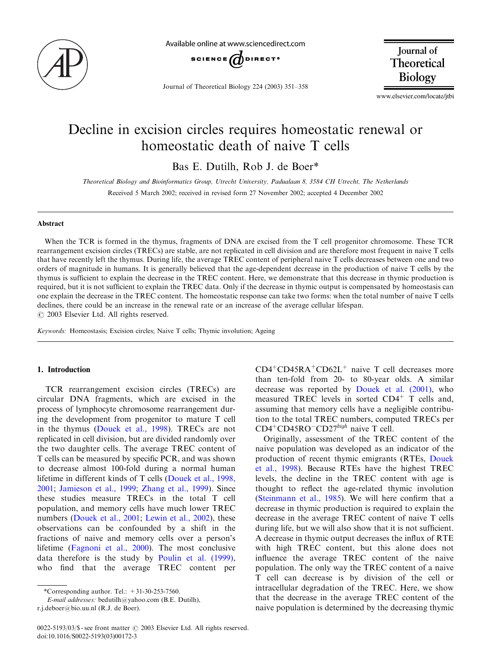

Available online at www.sciencedirect.com



Journal of Theoretical Biology 224 (2003) 351–358

Journal of Theoretical Biology

www.elsevier.com/locate/jtbi

# Decline in excision circles requires homeostatic renewal or homeostatic death of naive T cells

Bas E. Dutilh, Rob J. de Boer\*

Theoretical Biology and Bioinformatics Group, Utrecht University, Padualaan 8, 3584 CH Utrecht, The Netherlands Received 5 March 2002; received in revised form 27 November 2002; accepted 4 December 2002

## Abstract

When the TCR is formed in the thymus, fragments of DNA are excised from the T cell progenitor chromosome. These TCR rearrangement excision circles (TRECs) are stable, are not replicated in cell division and are therefore most frequent in naive T cells that have recently left the thymus. During life, the average TREC content of peripheral naive T cells decreases between one and two orders of magnitude in humans. It is generally believed that the age-dependent decrease in the production of naive T cells by the thymus is sufficient to explain the decrease in the TREC content. Here, we demonstrate that this decrease in thymic production is required, but it is not sufficient to explain the TREC data. Only if the decrease in thymic output is compensated by homeostasis can one explain the decrease in the TREC content. The homeostatic response can take two forms: when the total number of naive T cells declines, there could be an increase in the renewal rate or an increase of the average cellular lifespan.  $\odot$  2003 Elsevier Ltd. All rights reserved.

Keywords: Homeostasis; Excision circles; Naive T cells; Thymic involution; Ageing

## 1. Introduction

TCR rearrangement excision circles (TRECs) are circular DNA fragments, which are excised in the process of lymphocyte chromosome rearrangement during the development from progenitor to mature T cell in the thymus ([Douek et al., 1998](#page-7-0)). TRECs are not replicated in cell division, but are divided randomly over the two daughter cells. The average TREC content of T cells can be measured by specific PCR, and was shown to decrease almost 100-fold during a normal human lifetime in different kinds of T cells [\(Douek et al., 1998,](#page-7-0) [2001;](#page-7-0) [Jamieson et al., 1999](#page-7-0); [Zhang et al., 1999](#page-7-0)). Since these studies measure TRECs in the total T cell population, and memory cells have much lower TREC numbers [\(Douek et al., 2001;](#page-7-0) [Lewin et al., 2002\)](#page-7-0), these observations can be confounded by a shift in the fractions of naive and memory cells over a person's lifetime ([Fagnoni et al., 2000](#page-7-0)). The most conclusive data therefore is the study by [Poulin et al. \(1999\)](#page-7-0), who find that the average TREC content per

E-mail addresses: bedutilh@yahoo.com(B.E. Dutilh),

r.j.deboer@bio.uu.nl (R.J. de Boer).

 $CD4+CD45RA+CD62L+$  naive T cell decreases more than ten-fold from20- to 80-year olds. A similar decrease was reported by [Douek et al. \(2001\)](#page-7-0), who measured TREC levels in sorted  $CD4^+$  T cells and, assuming that memory cells have a negligible contribution to the total TREC numbers, computed TRECs per  $CD4^+CD45RO^-CD27^{high}$  naive T cell.

Originally, assessment of the TREC content of the naive population was developed as an indicator of the production of recent thymic emigrants (RTEs, [Douek](#page-7-0) [et al., 1998](#page-7-0)). Because RTEs have the highest TREC levels, the decline in the TREC content with age is thought to reflect the age-related thymic involution (Steinmann et al.,  $1985$ ). We will here confirm that a decrease in thymic production is required to explain the decrease in the average TREC content of naive T cells during life, but we will also show that it is not sufficient. A decrease in thymic output decreases the influx of RTE with high TREC content, but this alone does not influence the average TREC content of the naive population. The only way the TREC content of a naive T cell can decrease is by division of the cell or intracellular degradation of the TREC. Here, we show that the decrease in the average TREC content of the naive population is determined by the decreasing thymic

<sup>\*</sup>Corresponding author. Tel.:  $+31-30-253-7560$ .

 $0022-5193/03$ /\$ - see front matter  $\odot$  2003 Elsevier Ltd. All rights reserved. doi:10.1016/S0022-5193(03)00172-3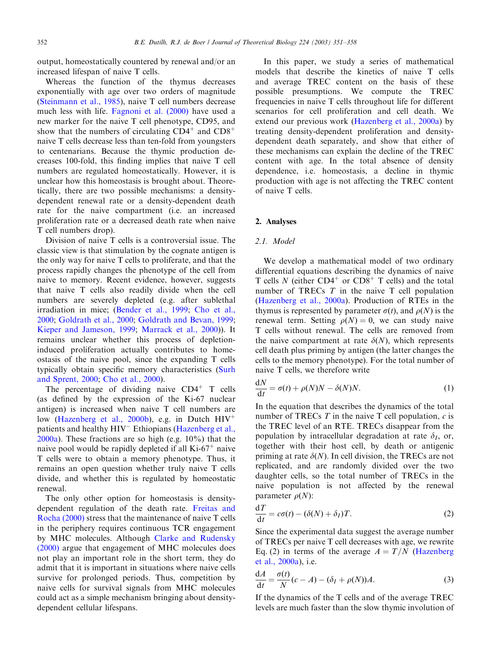output, homeostatically countered by renewal and/or an increased lifespan of naive T cells.

Whereas the function of the thymus decreases exponentially with age over two orders of magnitude [\(Steinmann et al., 1985\)](#page-7-0), naive T cell numbers decrease much less with life. [Fagnoni et al. \(2000\)](#page-7-0) have used a new marker for the naive T cell phenotype, CD95, and show that the numbers of circulating  $CD4^+$  and  $CD8^+$ naive T cells decrease less than ten-fold fromyoungsters to centenarians. Because the thymic production decreases 100-fold, this finding implies that naive T cell numbers are regulated homeostatically. However, it is unclear how this homeostasis is brought about. Theoretically, there are two possible mechanisms: a densitydependent renewal rate or a density-dependent death rate for the naive compartment (i.e. an increased proliferation rate or a decreased death rate when naive T cell numbers drop).

Division of naive T cells is a controversial issue. The classic view is that stimulation by the cognate antigen is the only way for naive T cells to proliferate, and that the process rapidly changes the phenotype of the cell from naive to memory. Recent evidence, however, suggests that naive T cells also readily divide when the cell numbers are severely depleted (e.g. after sublethal irradiation in mice; [\(Bender et al., 1999;](#page-7-0) [Cho et al.,](#page-7-0) [2000;](#page-7-0) [Goldrath et al., 2000;](#page-7-0) [Goldrath and Bevan, 1999](#page-7-0); [Kieper and Jameson, 1999](#page-7-0); [Marrack et al., 2000\)](#page-7-0)). It remains unclear whether this process of depletioninduced proliferation actually contributes to homeostasis of the naive pool, since the expanding T cells typically obtain specific memory characteristics ([Surh](#page-7-0) [and Sprent, 2000](#page-7-0); [Cho et al., 2000](#page-7-0)).

The percentage of dividing naive  $CD4^+$  T cells (as defined by the expression of the Ki-67 nuclear antigen) is increased when naive T cell numbers are low [\(Hazenberg et al., 2000b](#page-7-0)), e.g. in Dutch  $HIV^+$ patients and healthy HIV<sup>-</sup> Ethiopians [\(Hazenberg et al.,](#page-7-0) [2000a\)](#page-7-0). These fractions are so high (e.g. 10%) that the naive pool would be rapidly depleted if all  $Ki-67<sup>+</sup>$  naive T cells were to obtain a memory phenotype. Thus, it remains an open question whether truly naive T cells divide, and whether this is regulated by homeostatic renewal.

The only other option for homeostasis is densitydependent regulation of the death rate. [Freitas and](#page-7-0) [Rocha \(2000\)](#page-7-0) stress that the maintenance of naive T cells in the periphery requires continuous TCR engagement by MHC molecules. Although [Clarke and Rudensky](#page-7-0) [\(2000\)](#page-7-0) argue that engagement of MHC molecules does not play an important role in the short term, they do admit that it is important in situations where naive cells survive for prolonged periods. Thus, competition by naive cells for survival signals fromMHC molecules could act as a simple mechanism bringing about densitydependent cellular lifespans.

In this paper, we study a series of mathematical models that describe the kinetics of naive T cells and average TREC content on the basis of these possible presumptions. We compute the TREC frequencies in naive T cells throughout life for different scenarios for cell proliferation and cell death. We extend our previous work ([Hazenberg et al., 2000a\)](#page-7-0) by treating density-dependent proliferation and densitydependent death separately, and show that either of these mechanisms can explain the decline of the TREC content with age. In the total absence of density dependence, i.e. homeostasis, a decline in thymic production with age is not affecting the TREC content of naive T cells.

## 2. Analyses

### 2.1. Model

We develop a mathematical model of two ordinary differential equations describing the dynamics of naive T cells N (either  $CD4^+$  or  $CD8^+$  T cells) and the total number of TRECs  $T$  in the naive  $T$  cell population [\(Hazenberg et al., 2000a](#page-7-0)). Production of RTEs in the thymus is represented by parameter  $\sigma(t)$ , and  $\rho(N)$  is the renewal term. Setting  $\rho(N) = 0$ , we can study naive T cells without renewal. The cells are removed from the naive compartment at rate  $\delta(N)$ , which represents cell death plus priming by antigen (the latter changes the cells to the memory phenotype). For the total number of naive T cells, we therefore write

$$
\frac{dN}{dt} = \sigma(t) + \rho(N)N - \delta(N)N.
$$
 (1)

In the equation that describes the dynamics of the total number of TRECs  $T$  in the naive  $T$  cell population,  $c$  is the TREC level of an RTE. TRECs disappear fromthe population by intracellular degradation at rate  $\delta_I$ , or, together with their host cell, by death or antigenic priming at rate  $\delta(N)$ . In cell division, the TRECs are not replicated, and are randomly divided over the two daughter cells, so the total number of TRECs in the naive population is not affected by the renewal parameter  $\rho(N)$ :

$$
\frac{\mathrm{d}T}{\mathrm{d}t} = c\sigma(t) - (\delta(N) + \delta_I)T. \tag{2}
$$

Since the experimental data suggest the average number of TRECs per naive T cell decreases with age, we rewrite Eq. (2) in terms of the average  $A = T/N$  ([Hazenberg](#page-7-0) [et al., 2000a](#page-7-0)), i.e.

$$
\frac{dA}{dt} = \frac{\sigma(t)}{N}(c - A) - (\delta_I + \rho(N))A.
$$
 (3)

If the dynamics of the T cells and of the average TREC levels are much faster than the slow thymic involution of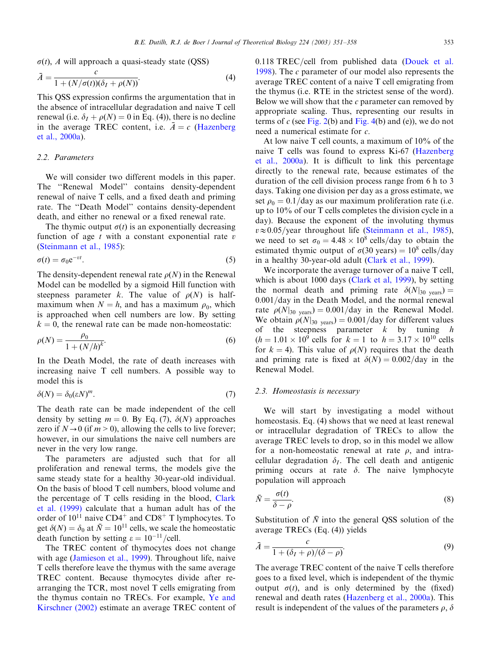$\sigma(t)$ , A will approach a quasi-steady state (QSS)

$$
\bar{A} = \frac{c}{1 + (N/\sigma(t))(\delta_I + \rho(N))}.
$$
\n(4)

This QSS expression confirms the argumentation that in the absence of intracellular degradation and naive T cell renewal (i.e.  $\delta_I + \rho(N) = 0$  in Eq. (4)), there is no decline in the average TREC content, i.e.  $\bar{A} = c$  ([Hazenberg](#page-7-0) [et al., 2000a](#page-7-0)).

## 2.2. Parameters

We will consider two different models in this paper. The ''Renewal Model'' contains density-dependent renewal of naive T cells, and a fixed death and priming rate. The ''Death Model'' contains density-dependent death, and either no renewal or a fixed renewal rate.

The thymic output  $\sigma(t)$  is an exponentially decreasing function of age  $t$  with a constant exponential rate  $v$ [\(Steinmann et al., 1985\)](#page-7-0):

$$
\sigma(t) = \sigma_0 e^{-vt}.\tag{5}
$$

The density-dependent renewal rate  $\rho(N)$  in the Renewal Model can be modelled by a sigmoid Hill function with steepness parameter k. The value of  $\rho(N)$  is halfmaximum when  $N = h$ , and has a maximum  $\rho_0$ , which is approached when cell numbers are low. By setting  $k = 0$ , the renewal rate can be made non-homeostatic:

$$
\rho(N) = \frac{\rho_0}{1 + (N/h)^k}.
$$
\n(6)

In the Death Model, the rate of death increases with increasing naive T cell numbers. A possible way to model this is

$$
\delta(N) = \delta_0 (\varepsilon N)^m. \tag{7}
$$

The death rate can be made independent of the cell density by setting  $m = 0$ . By Eq. (7),  $\delta(N)$  approaches zero if  $N \rightarrow 0$  (if  $m > 0$ ), allowing the cells to live forever; however, in our simulations the naive cell numbers are never in the very low range.

The parameters are adjusted such that for all proliferation and renewal terms, the models give the same steady state for a healthy 30-year-old individual. On the basis of blood T cell numbers, blood volume and the percentage of T cells residing in the blood, [Clark](#page-7-0) [et al. \(1999\)](#page-7-0) calculate that a human adult has of the order of  $10^{11}$  naive CD4<sup>+</sup> and CD8<sup>+</sup> T lymphocytes. To get  $\delta(N) = \delta_0$  at  $\bar{N} = 10^{11}$  cells, we scale the homeostatic death function by setting  $\varepsilon = 10^{-11}/\text{cell}$ .

The TREC content of thymocytes does not change with age ([Jamieson et al., 1999\)](#page-7-0). Throughout life, naive T cells therefore leave the thymus with the same average TREC content. Because thymocytes divide after rearranging the TCR, most novel T cells emigrating from the thymus contain no TRECs. For example, [Ye and](#page-7-0) [Kirschner \(2002\)](#page-7-0) estimate an average TREC content of  $0.118$  TREC/cell from published data [\(Douek et al.](#page-7-0) [1998\)](#page-7-0). The c parameter of our model also represents the average TREC content of a naive T cell emigrating from the thymus (i.e. RTE in the strictest sense of the word). Below we will show that the  $c$  parameter can removed by appropriate scaling. Thus, representing our results in terms of  $c$  (see [Fig. 2\(](#page-3-0)b) and [Fig. 4\(](#page-5-0)b) and (e)), we do not need a numerical estimate for c:

At low naive T cell counts, a maximum of 10% of the naive T cells was found to express Ki-67 ([Hazenberg](#page-7-0) [et al., 2000a\)](#page-7-0). It is difficult to link this percentage directly to the renewal rate, because estimates of the duration of the cell division process range from 6 h to 3 days. Taking one division per day as a gross estimate, we set  $\rho_0 = 0.1$ /day as our maximum proliferation rate (i.e. up to 10% of our T cells completes the division cycle in a day). Because the exponent of the involuting thymus  $v \approx 0.05$ /year throughout life [\(Steinmann et al., 1985\)](#page-7-0), we need to set  $\sigma_0 = 4.48 \times 10^8$  cells/day to obtain the estimated thymic output of  $\sigma(30 \text{ years}) = 10^8 \text{ cells/day}$ in a healthy 30-year-old adult ([Clark et al., 1999\)](#page-7-0).

We incorporate the average turnover of a naive T cell, which is about 1000 days ([Clark et al, 1999\)](#page-7-0), by setting the normal death and priming rate  $\delta(N)_{30 \text{ years}}$ ) = 0.001/day in the Death Model, and the normal renewal rate  $\rho(N|_{30 \text{ years}}) = 0.001/\text{day}$  in the Renewal Model. We obtain  $\rho(N|_{30 \text{ years}}) = 0.001/\text{day}$  for different values of the steepness parameter  $k$  by tuning  $h$  $(h = 1.01 \times 10^9$  cells for  $k = 1$  to  $h = 3.17 \times 10^{10}$  cells for  $k = 4$ ). This value of  $\rho(N)$  requires that the death and priming rate is fixed at  $\delta(N) = 0.002/\text{day}$  in the Renewal Model.

## 2.3. Homeostasis is necessary

We will start by investigating a model without homeostasis. Eq. (4) shows that we need at least renewal or intracellular degradation of TRECs to allow the average TREC levels to drop, so in this model we allow for a non-homeostatic renewal at rate  $\rho$ , and intracellular degradation  $\delta_I$ . The cell death and antigenic priming occurs at rate  $\delta$ . The naive lymphocyte population will approach

$$
\bar{N} = \frac{\sigma(t)}{\delta - \rho}.\tag{8}
$$

Substitution of  $\overline{N}$  into the general OSS solution of the average TRECs (Eq. (4)) yields

$$
\bar{A} = \frac{c}{1 + (\delta_I + \rho)/(\delta - \rho)}.
$$
\n(9)

The average TREC content of the naive T cells therefore goes to a fixed level, which is independent of the thymic output  $\sigma(t)$ , and is only determined by the (fixed) renewal and death rates [\(Hazenberg et al., 2000a\)](#page-7-0). This result is independent of the values of the parameters  $\rho$ ,  $\delta$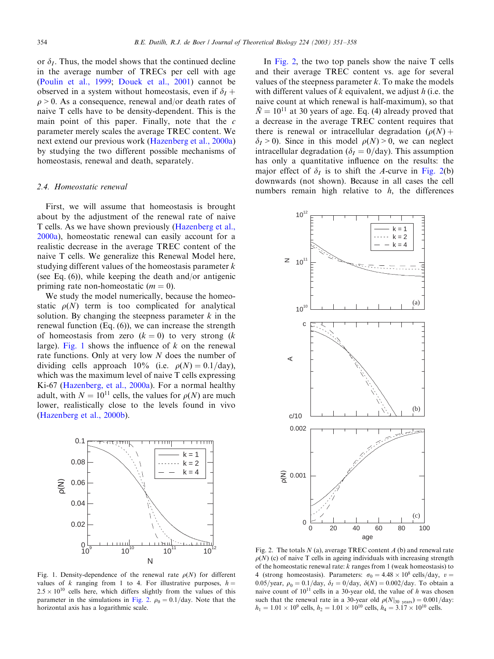<span id="page-3-0"></span>or  $\delta_I$ . Thus, the model shows that the continued decline in the average number of TRECs per cell with age [\(Poulin et al., 1999](#page-7-0); [Douek et al., 2001\)](#page-7-0) cannot be observed in a system without homeostasis, even if  $\delta_I$  +  $\rho > 0$ . As a consequence, renewal and/or death rates of naive T cells have to be density-dependent. This is the main point of this paper. Finally, note that the  $c$ parameter merely scales the average TREC content. We next extend our previous work ([Hazenberg et al., 2000a\)](#page-7-0) by studying the two different possible mechanisms of homeostasis, renewal and death, separately.

## 2.4. Homeostatic renewal

First, we will assume that homeostasis is brought about by the adjustment of the renewal rate of naive T cells. As we have shown previously ([Hazenberg et al.,](#page-7-0) [2000a\)](#page-7-0), homeostatic renewal can easily account for a realistic decrease in the average TREC content of the naive T cells. We generalize this Renewal Model here, studying different values of the homeostasis parameter  $k$ (see Eq. (6)), while keeping the death and/or antigenic priming rate non-homeostatic  $(m = 0)$ .

We study the model numerically, because the homeostatic  $\rho(N)$  term is too complicated for analytical solution. By changing the steepness parameter  $k$  in the renewal function (Eq. (6)), we can increase the strength of homeostasis from zero  $(k = 0)$  to very strong  $(k$ large). Fig. 1 shows the influence of  $k$  on the renewal rate functions. Only at very low N does the number of dividing cells approach 10% (i.e.  $\rho(N) = 0.1/\text{day}$ ), which was the maximum level of naive T cells expressing Ki-67 ([Hazenberg, et al., 2000a\)](#page-7-0). For a normal healthy adult, with  $N = 10^{11}$  cells, the values for  $\rho(N)$  are much lower, realistically close to the levels found in vivo [\(Hazenberg et al., 2000b\)](#page-7-0).



Fig. 1. Density-dependence of the renewal rate  $\rho(N)$  for different values of k ranging from 1 to 4. For illustrative purposes,  $h =$  $2.5 \times 10^{10}$  cells here, which differs slightly from the values of this parameter in the simulations in Fig. 2.  $\rho_0 = 0.1$ /day. Note that the horizontal axis has a logarithmic scale.

In Fig. 2, the two top panels show the naive T cells and their average TREC content vs. age for several values of the steepness parameter  $k$ . To make the models with different values of  $k$  equivalent, we adjust  $h$  (i.e. the naive count at which renewal is half-maximum), so that  $\overline{N}$  = 10<sup>11</sup> at 30 years of age. Eq. (4) already proved that a decrease in the average TREC content requires that there is renewal or intracellular degradation  $(\rho(N) +$  $\delta_I > 0$ ). Since in this model  $\rho(N) > 0$ , we can neglect intracellular degradation ( $\delta I = 0/\text{day}$ ). This assumption has only a quantitative influence on the results: the major effect of  $\delta_I$  is to shift the A-curve in Fig. 2(b) downwards (not shown). Because in all cases the cell numbers remain high relative to  $h$ , the differences



Fig. 2. The totals  $N$  (a), average TREC content  $A$  (b) and renewal rate  $\rho(N)$  (c) of naive T cells in ageing individuals with increasing strength of the homeostatic renewal rate:  $k$  ranges from 1 (weak homeostasis) to 4 (strong homeostasis). Parameters:  $\sigma_0 = 4.48 \times 10^8$  cells/day,  $v =$ 0.05/year,  $\rho_0 = 0.1$ /day,  $\delta_I = 0$ /day,  $\delta(N) = 0.002$ /day. To obtain a naive count of  $10^{11}$  cells in a 30-year old, the value of h was chosen such that the renewal rate in a 30-year old  $\rho(N|_{30 \text{ years}}) = 0.001/\text{day}$ :  $h_1 = 1.01 \times 10^9$  cells,  $h_2 = 1.01 \times 10^{10}$  cells,  $h_4 = 3.17 \times 10^{10}$  cells.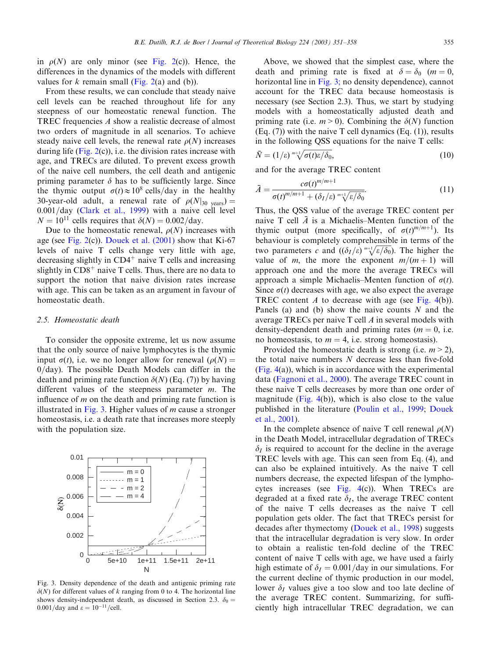in  $\rho(N)$  are only minor (see [Fig. 2\(](#page-3-0)c)). Hence, the differences in the dynamics of the models with different values for  $k$  remain small [\(Fig. 2\(](#page-3-0)a) and (b)).

From these results, we can conclude that steady naive cell levels can be reached throughout life for any steepness of our homeostatic renewal function. The TREC frequencies A show a realistic decrease of almost two orders of magnitude in all scenarios. To achieve steady naive cell levels, the renewal rate  $\rho(N)$  increases during life (Fig.  $2(c)$ ), i.e. the division rates increase with age, and TRECs are diluted. To prevent excess growth of the naive cell numbers, the cell death and antigenic priming parameter  $\delta$  has to be sufficiently large. Since the thymic output  $\sigma(t) \approx 10^8$  cells/day in the healthy 30-year-old adult, a renewal rate of  $\rho(N)_{30 \text{ years}}$ ) =  $0.001$ /day [\(Clark et al., 1999](#page-7-0)) with a naive cell level  $N = 10^{11}$  cells requires that  $\delta(N) = 0.002$ /day.

Due to the homeostatic renewal,  $\rho(N)$  increases with age (see [Fig. 2\(](#page-3-0)c)). [Douek et al. \(2001\)](#page-7-0) show that Ki-67 levels of naive T cells change very little with age, decreasing slightly in  $CD4<sup>+</sup>$  naive T cells and increasing slightly in  $CD8<sup>+</sup>$  naive T cells. Thus, there are no data to support the notion that naive division rates increase with age. This can be taken as an argument in favour of homeostatic death.

#### 2.5. Homeostatic death

To consider the opposite extreme, let us now assume that the only source of naive lymphocytes is the thymic input  $\sigma(t)$ , i.e. we no longer allow for renewal  $(\rho(N))$  $0$ /day). The possible Death Models can differ in the death and priming rate function  $\delta(N)$  (Eq. (7)) by having different values of the steepness parameter  $m$ . The influence of  $m$  on the death and priming rate function is illustrated in Fig. 3. Higher values of  $m$  cause a stronger homeostasis, i.e. a death rate that increases more steeply with the population size.



Fig. 3. Density dependence of the death and antigenic priming rate  $\delta(N)$  for different values of k ranging from 0 to 4. The horizontal line shows density-independent death, as discussed in Section 2.3.  $\delta_0 =$  $0.001$ /day and  $\varepsilon = 10^{-11}$ /cell.

Above, we showed that the simplest case, where the death and priming rate is fixed at  $\delta = \delta_0$  (m = 0, horizontal line in Fig. 3; no density dependence), cannot account for the TREC data because homeostasis is necessary (see Section 2.3). Thus, we start by studying models with a homeostatically adjusted death and priming rate (i.e.  $m > 0$ ). Combining the  $\delta(N)$  function  $(Eq. (7))$  with the naive T cell dynamics  $(Eq. (1))$ , results in the following QSS equations for the naive T cells:

$$
\bar{N} = (1/\varepsilon)^{m+1} \sqrt{\sigma(t)\varepsilon/\delta_0},\tag{10}
$$

and for the average TREC content

$$
\bar{A} = \frac{c\sigma(t)^{m/m+1}}{\sigma(t)^{m/m+1} + (\delta_I/\varepsilon)^{m+\sqrt{\varepsilon/\delta_0}}}.
$$
\n(11)

Thus, the QSS value of the average TREC content per naive T cell  $\bar{A}$  is a Michaelis–Menten function of the thymic output (more specifically, of  $\sigma(t)^{m/m+1}$ ). Its behaviour is completely comprehensible in terms of the two parameters c and  $((\delta_I/\varepsilon)^{m+1}/\varepsilon/\delta_0)$ . The higher the value of m, the more the exponent  $m/(m + 1)$  will approach one and the more the average TRECs will approach a simple Michaelis–Menten function of  $\sigma(t)$ . Since  $\sigma(t)$  decreases with age, we also expect the average TREC content A to decrease with age (see [Fig. 4\(](#page-5-0)b)). Panels (a) and (b) show the naive counts  $N$  and the average TRECs per naive T cell A in several models with density-dependent death and priming rates ( $m = 0$ , i.e. no homeostasis, to  $m = 4$ , i.e. strong homeostasis).

Provided the homeostatic death is strong (i.e.  $m > 2$ ), the total naive numbers  $N$  decrease less than five-fold [\(Fig. 4\(](#page-5-0)a)), which is in accordance with the experimental data ([Fagnoni et al., 2000\)](#page-7-0). The average TREC count in these naive T cells decreases by more than one order of magnitude (Fig.  $4(b)$ ), which is also close to the value published in the literature ([Poulin et al., 1999;](#page-7-0) [Douek](#page-7-0) [et al., 2001](#page-7-0)).

In the complete absence of naive T cell renewal  $\rho(N)$ in the Death Model, intracellular degradation of TRECs  $\delta_I$  is required to account for the decline in the average TREC levels with age. This can seen from Eq. (4), and can also be explained intuitively. As the naive T cell numbers decrease, the expected lifespan of the lymphocytes increases (see [Fig. 4\(](#page-5-0)c)). When TRECs are degraded at a fixed rate  $\delta_I$ , the average TREC content of the naive T cells decreases as the naive T cell population gets older. The fact that TRECs persist for decades after thymectomy [\(Douek et al., 1998\)](#page-7-0) suggests that the intracellular degradation is very slow. In order to obtain a realistic ten-fold decline of the TREC content of naive T cells with age, we have used a fairly high estimate of  $\delta_I = 0.001/day$  in our simulations. For the current decline of thymic production in our model, lower  $\delta_I$  values give a too slow and too late decline of the average TREC content. Summarizing, for sufficiently high intracellular TREC degradation, we can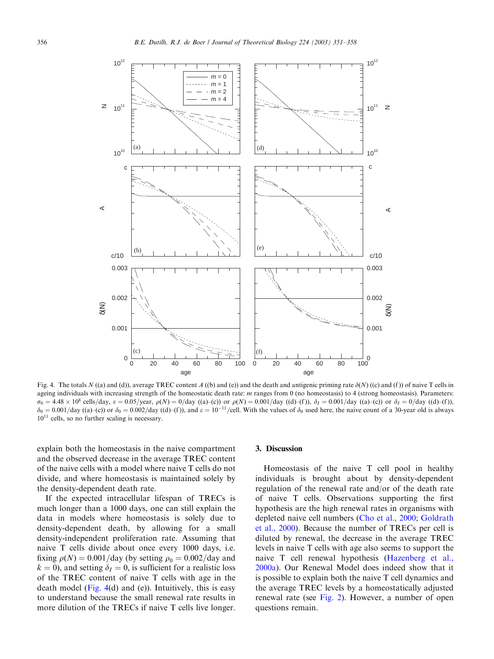<span id="page-5-0"></span>

Fig. 4. The totals N ((a) and (d)), average TREC content A ((b) and (e)) and the death and antigenic priming rate  $\delta(N)$  ((c) and (f)) of naive T cells in ageing individuals with increasing strength of the homeostatic death rate:  $m$  ranges from 0 (no homeostasis) to 4 (strong homeostasis). Parameters:  $\sigma_0 = 4.48 \times 10^8$  cells/day,  $v = 0.05/\text{year}$ ,  $\rho(N) = 0/\text{day}$  ((a)–(c)) or  $\rho(N) = 0.001/\text{day}$  ((d)–(f)),  $\delta_I = 0.001/\text{day}$  ((a)–(c)) or  $\delta_I = 0/\text{day}$  ((d)–(f)),  $\delta_0 = 0.001/\text{day}$  ((a)–(c)) or  $\delta_0 = 0.002/\text{day}$  ((d)–(f)), and  $\varepsilon = 10^{-11}/\text{cell}$ . With the values of  $\delta_0$  used here, the naive count of a 30-year old is always 1011 cells, so no further scaling is necessary.

explain both the homeostasis in the naive compartment and the observed decrease in the average TREC content of the naive cells with a model where naive T cells do not divide, and where homeostasis is maintained solely by the density-dependent death rate.

If the expected intracellular lifespan of TRECs is much longer than a 1000 days, one can still explain the data in models where homeostasis is solely due to density-dependent death, by allowing for a small density-independent proliferation rate. Assuming that naive T cells divide about once every 1000 days, i.e. fixing  $\rho(N) = 0.001$ /day (by setting  $\rho_0 = 0.002$ /day and  $k = 0$ ), and setting  $\delta_I = 0$ , is sufficient for a realistic loss of the TREC content of naive T cells with age in the death model (Fig. 4(d) and (e)). Intuitively, this is easy to understand because the small renewal rate results in more dilution of the TRECs if naive T cells live longer.

## 3. Discussion

Homeostasis of the naive T cell pool in healthy individuals is brought about by density-dependent regulation of the renewal rate and/or of the death rate of naive T cells. Observations supporting the first hypothesis are the high renewal rates in organisms with depleted naive cell numbers ([Cho et al., 2000](#page-7-0); [Goldrath](#page-7-0) [et al., 2000\)](#page-7-0). Because the number of TRECs per cell is diluted by renewal, the decrease in the average TREC levels in naive T cells with age also seems to support the naive T cell renewal hypothesis [\(Hazenberg et al.,](#page-7-0) [2000a\)](#page-7-0). Our Renewal Model does indeed show that it is possible to explain both the naive T cell dynamics and the average TREC levels by a homeostatically adjusted renewal rate (see [Fig. 2\)](#page-3-0). However, a number of open questions remain.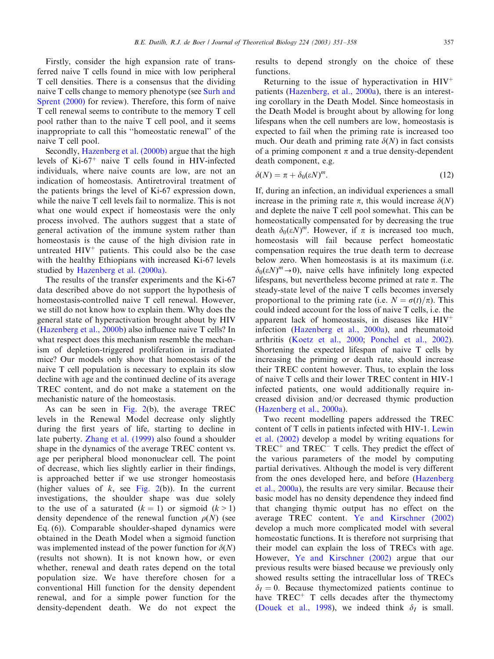Firstly, consider the high expansion rate of transferred naive T cells found in mice with low peripheral T cell densities. There is a consensus that the dividing naive T cells change to memory phenotype (see [Surh and](#page-7-0) [Sprent \(2000\)](#page-7-0) for review). Therefore, this form of naive T cell renewal seems to contribute to the memory T cell pool rather than to the naive T cell pool, and it seems inappropriate to call this ''homeostatic renewal'' of the naive T cell pool.

Secondly, [Hazenberg et al. \(2000b\)](#page-7-0) argue that the high levels of  $Ki-67<sup>+</sup>$  naive T cells found in HIV-infected individuals, where naive counts are low, are not an indication of homeostasis. Antiretroviral treatment of the patients brings the level of Ki-67 expression down, while the naive T cell levels fail to normalize. This is not what one would expect if homeostasis were the only process involved. The authors suggest that a state of general activation of the immune system rather than homeostasis is the cause of the high division rate in untreated  $HIV^+$  patients. This could also be the case with the healthy Ethiopians with increased Ki-67 levels studied by [Hazenberg et al. \(2000a\).](#page-7-0)

The results of the transfer experiments and the Ki-67 data described above do not support the hypothesis of homeostasis-controlled naive T cell renewal. However, we still do not know how to explain them. Why does the general state of hyperactivation brought about by HIV [\(Hazenberg et al., 2000b\)](#page-7-0) also influence naive T cells? In what respect does this mechanism resemble the mechanismof depletion-triggered proliferation in irradiated mice? Our models only show that homeostasis of the naive T cell population is necessary to explain its slow decline with age and the continued decline of its average TREC content, and do not make a statement on the mechanistic nature of the homeostasis.

As can be seen in [Fig. 2\(](#page-3-0)b), the average TREC levels in the Renewal Model decrease only slightly during the first years of life, starting to decline in late puberty. [Zhang et al. \(1999\)](#page-7-0) also found a shoulder shape in the dynamics of the average TREC content vs. age per peripheral blood mononuclear cell. The point of decrease, which lies slightly earlier in their findings, is approached better if we use stronger homeostasis (higher values of  $k$ , see [Fig. 2\(](#page-3-0)b)). In the current investigations, the shoulder shape was due solely to the use of a saturated  $(k = 1)$  or sigmoid  $(k > 1)$ density dependence of the renewal function  $\rho(N)$  (see Eq. (6)). Comparable shoulder-shaped dynamics were obtained in the Death Model when a sigmoid function was implemented instead of the power function for  $\delta(N)$ (results not shown). It is not known how, or even whether, renewal and death rates depend on the total population size. We have therefore chosen for a conventional Hill function for the density dependent renewal, and for a simple power function for the density-dependent death. We do not expect the

results to depend strongly on the choice of these functions.

Returning to the issue of hyperactivation in  $HIV^+$ patients [\(Hazenberg, et al., 2000a\)](#page-7-0), there is an interesting corollary in the Death Model. Since homeostasis in the Death Model is brought about by allowing for long lifespans when the cell numbers are low, homeostasis is expected to fail when the priming rate is increased too much. Our death and priming rate  $\delta(N)$  in fact consists of a priming component  $\pi$  and a true density-dependent death component, e.g.

$$
\delta(N) = \pi + \delta_0 (\varepsilon N)^m. \tag{12}
$$

If, during an infection, an individual experiences a small increase in the priming rate  $\pi$ , this would increase  $\delta(N)$ and deplete the naive T cell pool somewhat. This can be homeostatically compensated for by decreasing the true death  $\delta_0(\varepsilon N)^m$ . However, if  $\pi$  is increased too much, homeostasis will fail because perfect homeostatic compensation requires the true death term to decrease below zero. When homeostasis is at its maximum (i.e.  $\delta_0(\varepsilon N)^m \to 0$ ), naive cells have infinitely long expected lifespans, but nevertheless become primed at rate  $\pi$ . The steady-state level of the naive T cells becomes inversely proportional to the priming rate (i.e.  $N = \sigma(t)/\pi$ ). This could indeed account for the loss of naive T cells, i.e. the apparent lack of homeostasis, in diseases like  $HIV^+$ infection [\(Hazenberg et al., 2000a\)](#page-7-0), and rheumatoid arthritis ([Koetz et al., 2000;](#page-7-0) [Ponchel et al., 2002\)](#page-7-0). Shortening the expected lifespan of naive T cells by increasing the priming or death rate, should increase their TREC content however. Thus, to explain the loss of naive T cells and their lower TREC content in HIV-1 infected patients, one would additionally require increased division and/or decreased thymic production [\(Hazenberg et al., 2000a](#page-7-0)).

Two recent modelling papers addressed the TREC content of T cells in patients infected with HIV-1. [Lewin](#page-7-0) [et al. \(2002\)](#page-7-0) develop a model by writing equations for  $TREC^+$  and  $TREC^-$  T cells. They predict the effect of the various parameters of the model by computing partial derivatives. Although the model is very different from the ones developed here, and before ([Hazenberg](#page-7-0)) [et al., 2000a](#page-7-0)), the results are very similar. Because their basic model has no density dependence they indeed find that changing thymic output has no effect on the average TREC content. [Ye and Kirschner \(2002\)](#page-7-0) develop a much more complicated model with several homeostatic functions. It is therefore not surprising that their model can explain the loss of TRECs with age. However, [Ye and Kirschner \(2002\)](#page-7-0) argue that our previous results were biased because we previously only showed results setting the intracellular loss of TRECs  $\delta_I = 0$ . Because thymectomized patients continue to have  $TREC^+$  T cells decades after the thymectomy [\(Douek et al., 1998](#page-7-0)), we indeed think  $\delta_I$  is small.